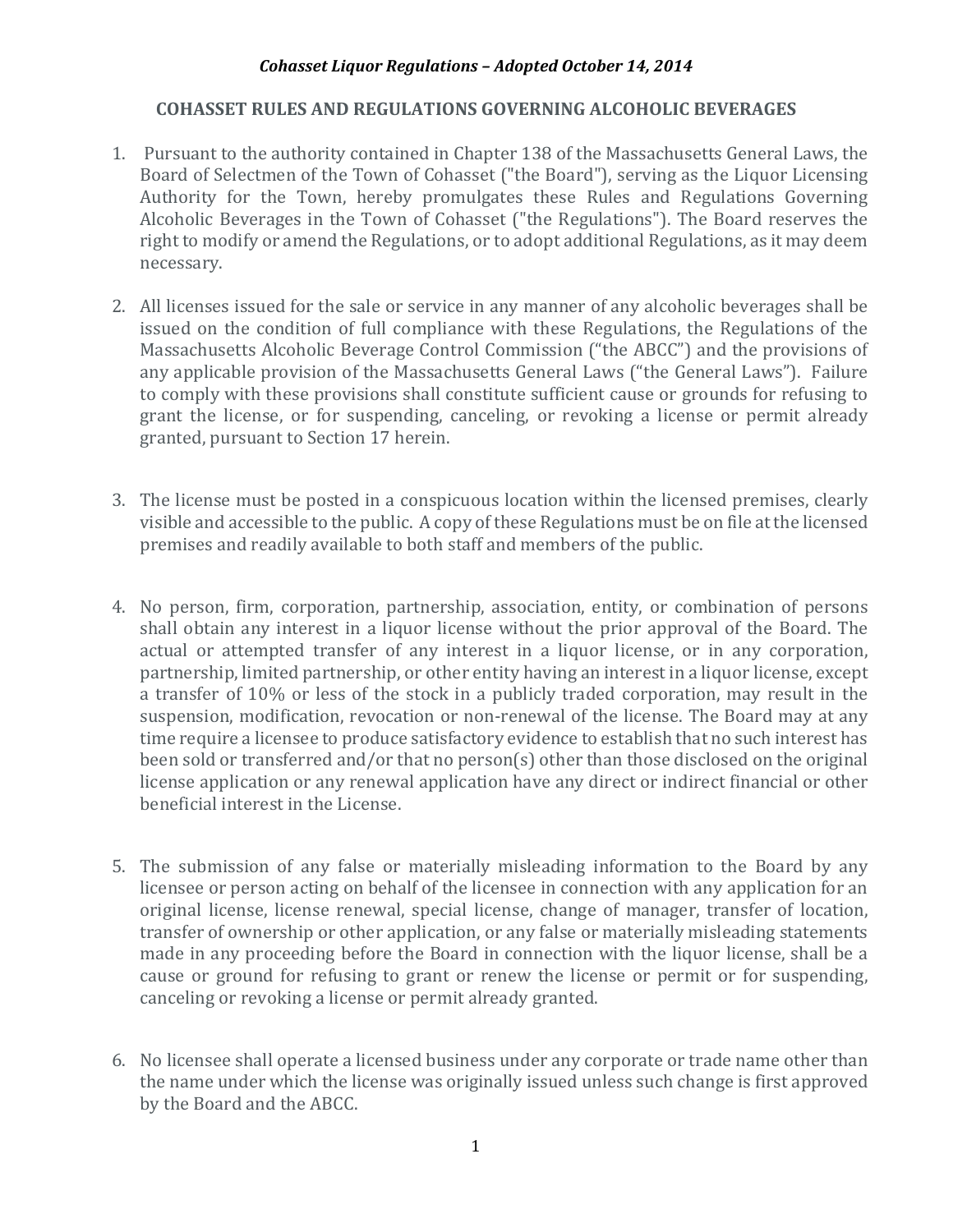# **COHASSET RULES AND REGULATIONS GOVERNING ALCOHOLIC BEVERAGES**

- 1. Pursuant to the authority contained in Chapter 138 of the Massachusetts General Laws, the Board of Selectmen of the Town of Cohasset ("the Board"), serving as the Liquor Licensing Authority for the Town, hereby promulgates these Rules and Regulations Governing Alcoholic Beverages in the Town of Cohasset ("the Regulations"). The Board reserves the right to modify or amend the Regulations, or to adopt additional Regulations, as it may deem necessary.
- 2. All licenses issued for the sale or service in any manner of any alcoholic beverages shall be issued on the condition of full compliance with these Regulations, the Regulations of the Massachusetts Alcoholic Beverage Control Commission ("the ABCC") and the provisions of any applicable provision of the Massachusetts General Laws ("the General Laws"). Failure to comply with these provisions shall constitute sufficient cause or grounds for refusing to grant the license, or for suspending, canceling, or revoking a license or permit already granted, pursuant to Section 17 herein.
- 3. The license must be posted in a conspicuous location within the licensed premises, clearly visible and accessible to the public. A copy of these Regulations must be on file at the licensed premises and readily available to both staff and members of the public.
- 4. No person, firm, corporation, partnership, association, entity, or combination of persons shall obtain any interest in a liquor license without the prior approval of the Board. The actual or attempted transfer of any interest in a liquor license, or in any corporation, partnership, limited partnership, or other entity having an interest in a liquor license, except a transfer of 10% or less of the stock in a publicly traded corporation, may result in the suspension, modification, revocation or non-renewal of the license. The Board may at any time require a licensee to produce satisfactory evidence to establish that no such interest has been sold or transferred and/or that no person(s) other than those disclosed on the original license application or any renewal application have any direct or indirect financial or other beneficial interest in the License.
- 5. The submission of any false or materially misleading information to the Board by any licensee or person acting on behalf of the licensee in connection with any application for an original license, license renewal, special license, change of manager, transfer of location, transfer of ownership or other application, or any false or materially misleading statements made in any proceeding before the Board in connection with the liquor license, shall be a cause or ground for refusing to grant or renew the license or permit or for suspending, canceling or revoking a license or permit already granted.
- 6. No licensee shall operate a licensed business under any corporate or trade name other than the name under which the license was originally issued unless such change is first approved by the Board and the ABCC.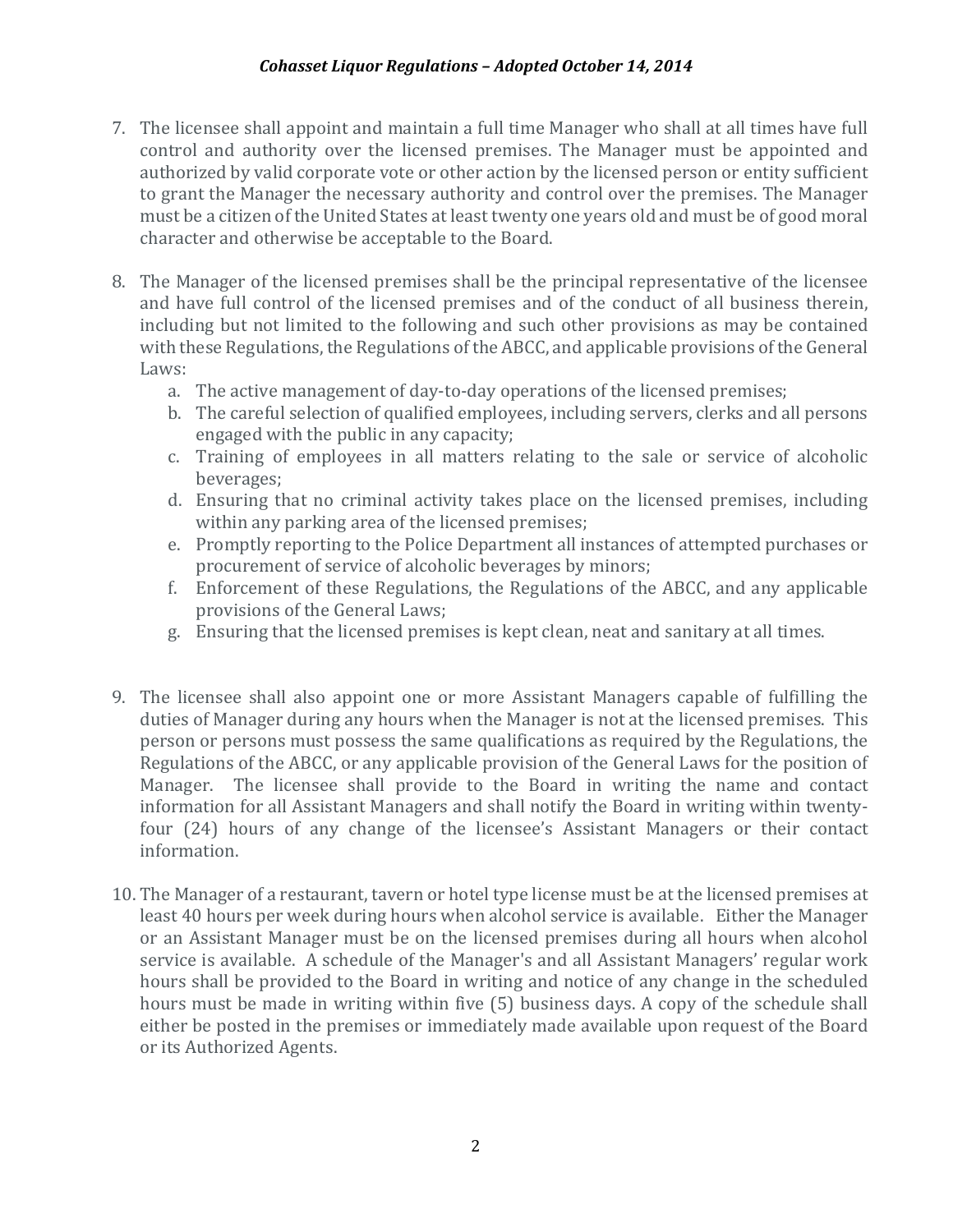- 7. The licensee shall appoint and maintain a full time Manager who shall at all times have full control and authority over the licensed premises. The Manager must be appointed and authorized by valid corporate vote or other action by the licensed person or entity sufficient to grant the Manager the necessary authority and control over the premises. The Manager must be a citizen of the United States at least twenty one years old and must be of good moral character and otherwise be acceptable to the Board.
- 8. The Manager of the licensed premises shall be the principal representative of the licensee and have full control of the licensed premises and of the conduct of all business therein, including but not limited to the following and such other provisions as may be contained with these Regulations, the Regulations of the ABCC, and applicable provisions of the General Laws:
	- a. The active management of day-to-day operations of the licensed premises;
	- b. The careful selection of qualified employees, including servers, clerks and all persons engaged with the public in any capacity;
	- c. Training of employees in all matters relating to the sale or service of alcoholic beverages;
	- d. Ensuring that no criminal activity takes place on the licensed premises, including within any parking area of the licensed premises;
	- e. Promptly reporting to the Police Department all instances of attempted purchases or procurement of service of alcoholic beverages by minors;
	- f. Enforcement of these Regulations, the Regulations of the ABCC, and any applicable provisions of the General Laws;
	- g. Ensuring that the licensed premises is kept clean, neat and sanitary at all times.
- 9. The licensee shall also appoint one or more Assistant Managers capable of fulfilling the duties of Manager during any hours when the Manager is not at the licensed premises. This person or persons must possess the same qualifications as required by the Regulations, the Regulations of the ABCC, or any applicable provision of the General Laws for the position of Manager. The licensee shall provide to the Board in writing the name and contact information for all Assistant Managers and shall notify the Board in writing within twentyfour (24) hours of any change of the licensee's Assistant Managers or their contact information.
- 10. The Manager of a restaurant, tavern or hotel type license must be at the licensed premises at least 40 hours per week during hours when alcohol service is available. Either the Manager or an Assistant Manager must be on the licensed premises during all hours when alcohol service is available. A schedule of the Manager's and all Assistant Managers' regular work hours shall be provided to the Board in writing and notice of any change in the scheduled hours must be made in writing within five (5) business days. A copy of the schedule shall either be posted in the premises or immediately made available upon request of the Board or its Authorized Agents.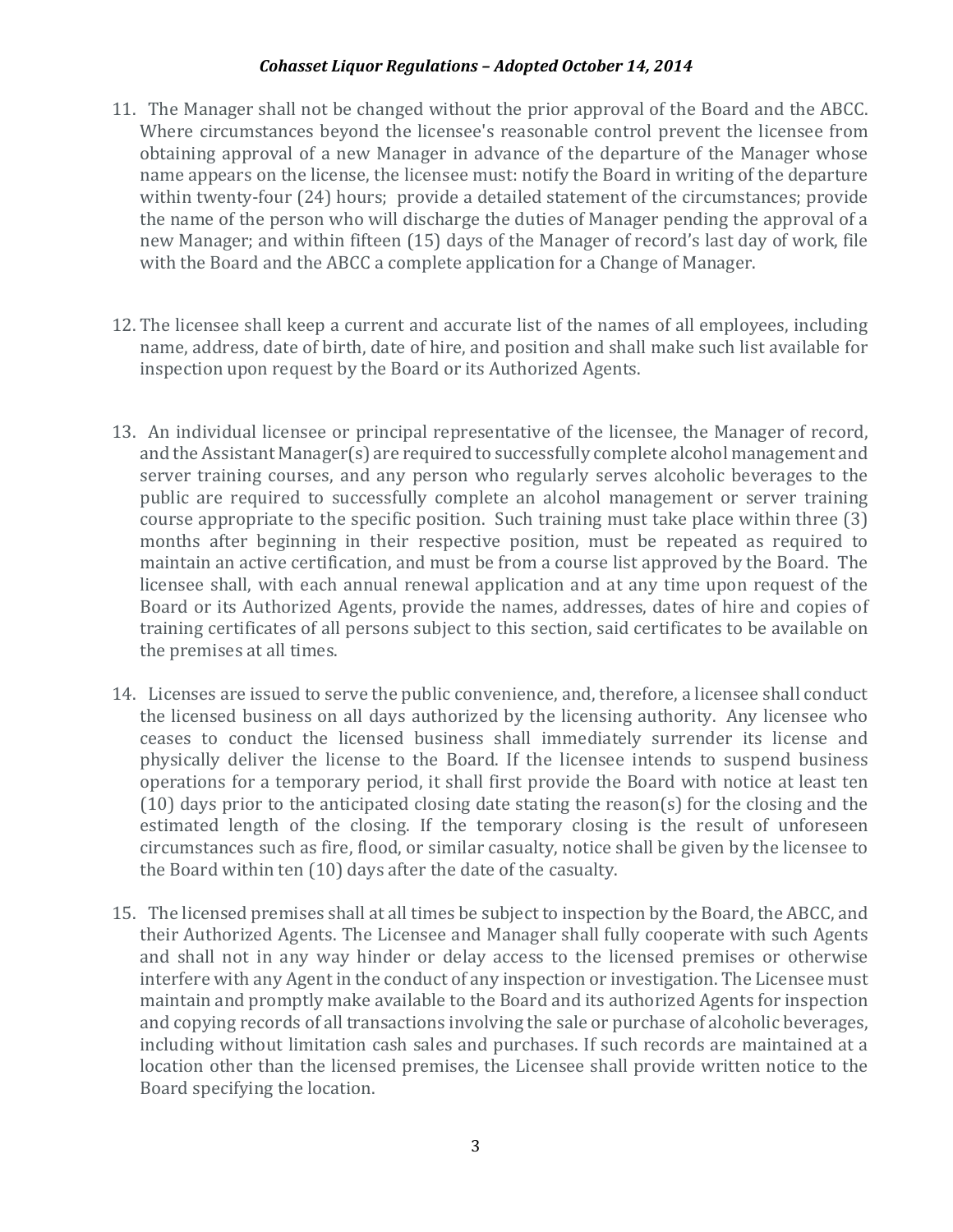- 11. The Manager shall not be changed without the prior approval of the Board and the ABCC. Where circumstances beyond the licensee's reasonable control prevent the licensee from obtaining approval of a new Manager in advance of the departure of the Manager whose name appears on the license, the licensee must: notify the Board in writing of the departure within twenty-four (24) hours; provide a detailed statement of the circumstances: provide the name of the person who will discharge the duties of Manager pending the approval of a new Manager; and within fifteen (15) days of the Manager of record's last day of work, file with the Board and the ABCC a complete application for a Change of Manager.
- 12. The licensee shall keep a current and accurate list of the names of all employees, including name, address, date of birth, date of hire, and position and shall make such list available for inspection upon request by the Board or its Authorized Agents.
- 13. An individual licensee or principal representative of the licensee, the Manager of record, and the Assistant Manager(s) are required to successfully complete alcohol management and server training courses, and any person who regularly serves alcoholic beverages to the public are required to successfully complete an alcohol management or server training course appropriate to the specific position. Such training must take place within three  $(3)$ months after beginning in their respective position, must be repeated as required to maintain an active certification, and must be from a course list approved by the Board. The licensee shall, with each annual renewal application and at any time upon request of the Board or its Authorized Agents, provide the names, addresses, dates of hire and copies of training certificates of all persons subject to this section, said certificates to be available on the premises at all times.
- 14. Licenses are issued to serve the public convenience, and, therefore, a licensee shall conduct the licensed business on all days authorized by the licensing authority. Any licensee who ceases to conduct the licensed business shall immediately surrender its license and physically deliver the license to the Board. If the licensee intends to suspend business operations for a temporary period, it shall first provide the Board with notice at least ten  $(10)$  days prior to the anticipated closing date stating the reason(s) for the closing and the estimated length of the closing. If the temporary closing is the result of unforeseen circumstances such as fire, flood, or similar casualty, notice shall be given by the licensee to the Board within  $ten(10)$  days after the date of the casualty.
- 15. The licensed premises shall at all times be subject to inspection by the Board, the ABCC, and their Authorized Agents. The Licensee and Manager shall fully cooperate with such Agents and shall not in any way hinder or delay access to the licensed premises or otherwise interfere with any Agent in the conduct of any inspection or investigation. The Licensee must maintain and promptly make available to the Board and its authorized Agents for inspection and copying records of all transactions involving the sale or purchase of alcoholic beverages, including without limitation cash sales and purchases. If such records are maintained at a location other than the licensed premises, the Licensee shall provide written notice to the Board specifying the location.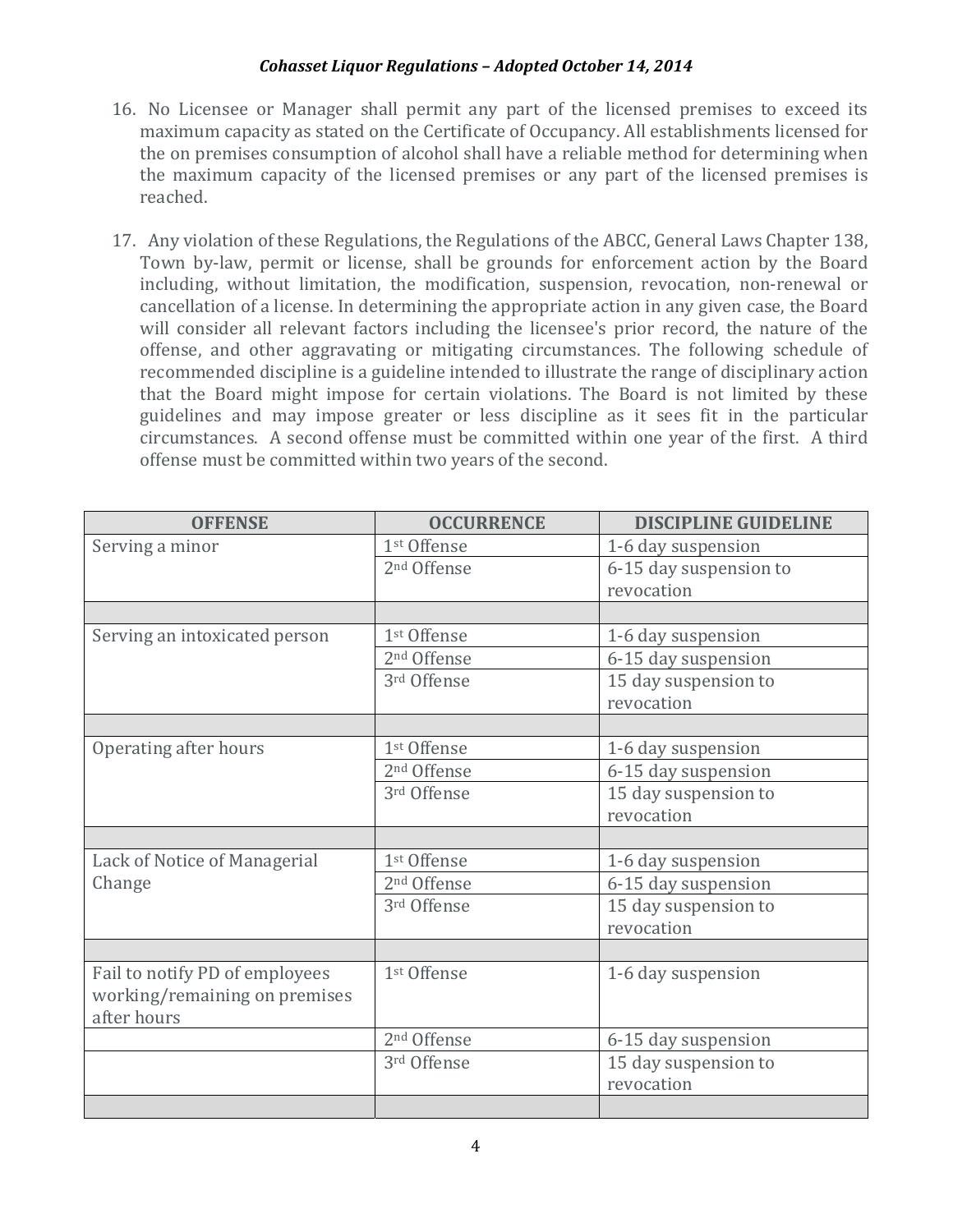- 16. No Licensee or Manager shall permit any part of the licensed premises to exceed its maximum capacity as stated on the Certificate of Occupancy. All establishments licensed for the on premises consumption of alcohol shall have a reliable method for determining when the maximum capacity of the licensed premises or any part of the licensed premises is reached.
- 17. Any violation of these Regulations, the Regulations of the ABCC, General Laws Chapter 138, Town by-law, permit or license, shall be grounds for enforcement action by the Board including, without limitation, the modification, suspension, revocation, non-renewal or cancellation of a license. In determining the appropriate action in any given case, the Board will consider all relevant factors including the licensee's prior record, the nature of the offense, and other aggravating or mitigating circumstances. The following schedule of recommended discipline is a guideline intended to illustrate the range of disciplinary action that the Board might impose for certain violations. The Board is not limited by these guidelines and may impose greater or less discipline as it sees fit in the particular circumstances. A second offense must be committed within one year of the first. A third offense must be committed within two years of the second.

| <b>OFFENSE</b>                 | <b>OCCURRENCE</b>       | <b>DISCIPLINE GUIDELINE</b> |
|--------------------------------|-------------------------|-----------------------------|
| Serving a minor                | 1st Offense             | 1-6 day suspension          |
|                                | 2 <sup>nd</sup> Offense | 6-15 day suspension to      |
|                                |                         | revocation                  |
|                                |                         |                             |
| Serving an intoxicated person  | 1st Offense             | 1-6 day suspension          |
|                                | 2 <sup>nd</sup> Offense | 6-15 day suspension         |
|                                | 3rd Offense             | 15 day suspension to        |
|                                |                         | revocation                  |
|                                |                         |                             |
| Operating after hours          | 1st Offense             | 1-6 day suspension          |
|                                | 2 <sup>nd</sup> Offense | 6-15 day suspension         |
|                                | 3rd Offense             | 15 day suspension to        |
|                                |                         | revocation                  |
|                                |                         |                             |
| Lack of Notice of Managerial   | 1st Offense             | 1-6 day suspension          |
| Change                         | 2 <sup>nd</sup> Offense | 6-15 day suspension         |
|                                | 3rd Offense             | 15 day suspension to        |
|                                |                         | revocation                  |
|                                |                         |                             |
| Fail to notify PD of employees | 1st Offense             | 1-6 day suspension          |
| working/remaining on premises  |                         |                             |
| after hours                    |                         |                             |
|                                | 2 <sup>nd</sup> Offense | 6-15 day suspension         |
|                                | 3rd Offense             | 15 day suspension to        |
|                                |                         | revocation                  |
|                                |                         |                             |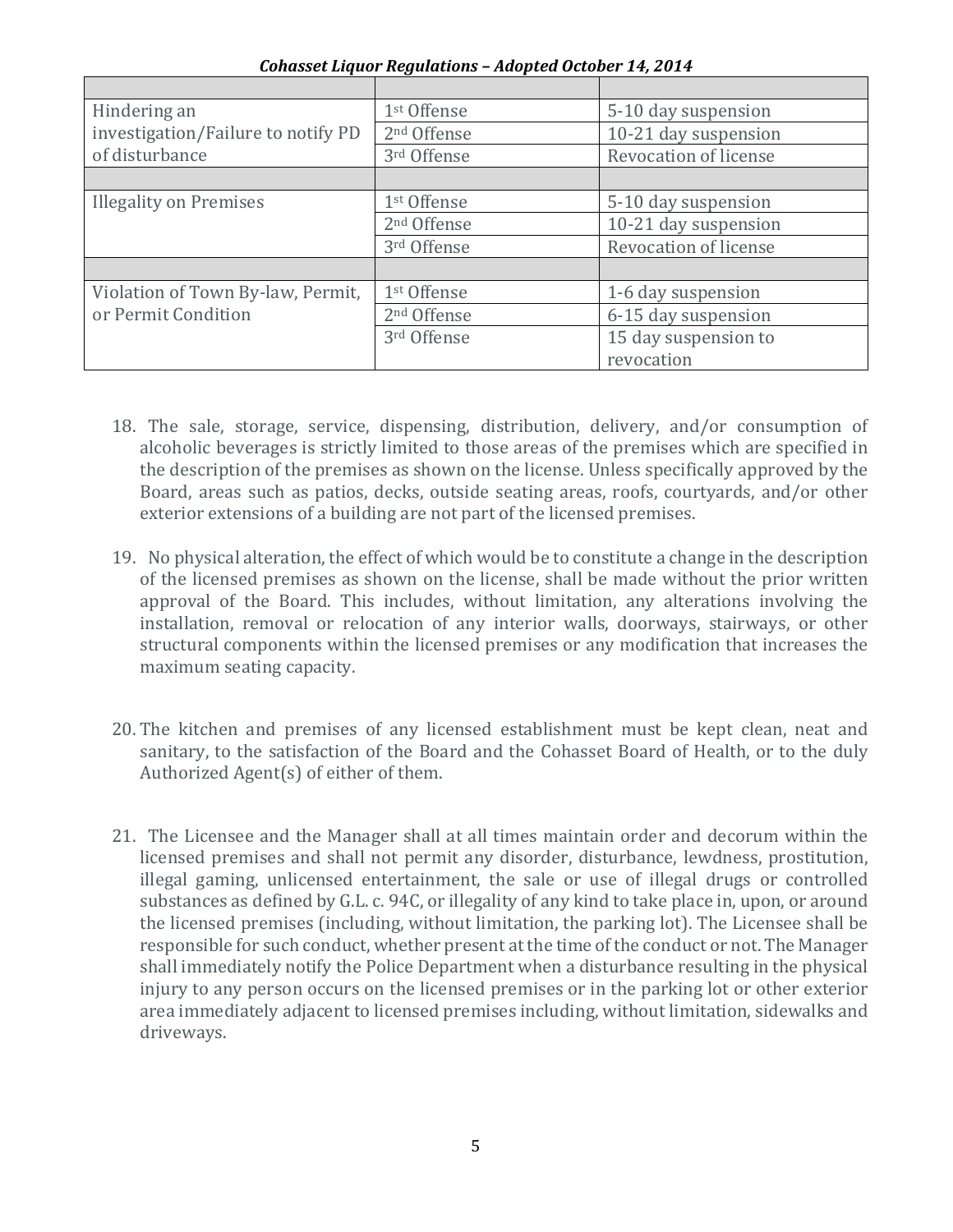| Hindering an                                             | 1 <sup>st</sup> Offense | 5-10 day suspension   |
|----------------------------------------------------------|-------------------------|-----------------------|
| investigation/Failure to notify PD                       | 2 <sup>nd</sup> Offense | 10-21 day suspension  |
| of disturbance                                           | 3rd Offense             | Revocation of license |
|                                                          |                         |                       |
| <b>Illegality on Premises</b>                            | 1 <sup>st</sup> Offense | 5-10 day suspension   |
|                                                          | 2 <sup>nd</sup> Offense | 10-21 day suspension  |
|                                                          | 3rd Offense             | Revocation of license |
|                                                          |                         |                       |
| Violation of Town By-law, Permit,<br>or Permit Condition | 1st Offense             | 1-6 day suspension    |
|                                                          | 2 <sup>nd</sup> Offense | 6-15 day suspension   |
|                                                          | 3rd Offense             | 15 day suspension to  |
|                                                          |                         | revocation            |

*Cohasset Liquor Regulations – Adopted October 14, 2014* 

- 18. The sale, storage, service, dispensing, distribution, delivery, and/or consumption of alcoholic beverages is strictly limited to those areas of the premises which are specified in the description of the premises as shown on the license. Unless specifically approved by the Board, areas such as patios, decks, outside seating areas, roofs, courtyards, and/or other exterior extensions of a building are not part of the licensed premises.
- 19. No physical alteration, the effect of which would be to constitute a change in the description of the licensed premises as shown on the license, shall be made without the prior written approval of the Board. This includes, without limitation, any alterations involving the installation, removal or relocation of any interior walls, doorways, stairways, or other structural components within the licensed premises or any modification that increases the maximum seating capacity.
- 20. The kitchen and premises of any licensed establishment must be kept clean, neat and sanitary, to the satisfaction of the Board and the Cohasset Board of Health, or to the duly Authorized Agent $(s)$  of either of them.
- 21. The Licensee and the Manager shall at all times maintain order and decorum within the licensed premises and shall not permit any disorder, disturbance, lewdness, prostitution, illegal gaming, unlicensed entertainment, the sale or use of illegal drugs or controlled substances as defined by G.L. c. 94C, or illegality of any kind to take place in, upon, or around the licensed premises (including, without limitation, the parking lot). The Licensee shall be responsible for such conduct, whether present at the time of the conduct or not. The Manager shall immediately notify the Police Department when a disturbance resulting in the physical injury to any person occurs on the licensed premises or in the parking lot or other exterior area immediately adjacent to licensed premises including, without limitation, sidewalks and driveways.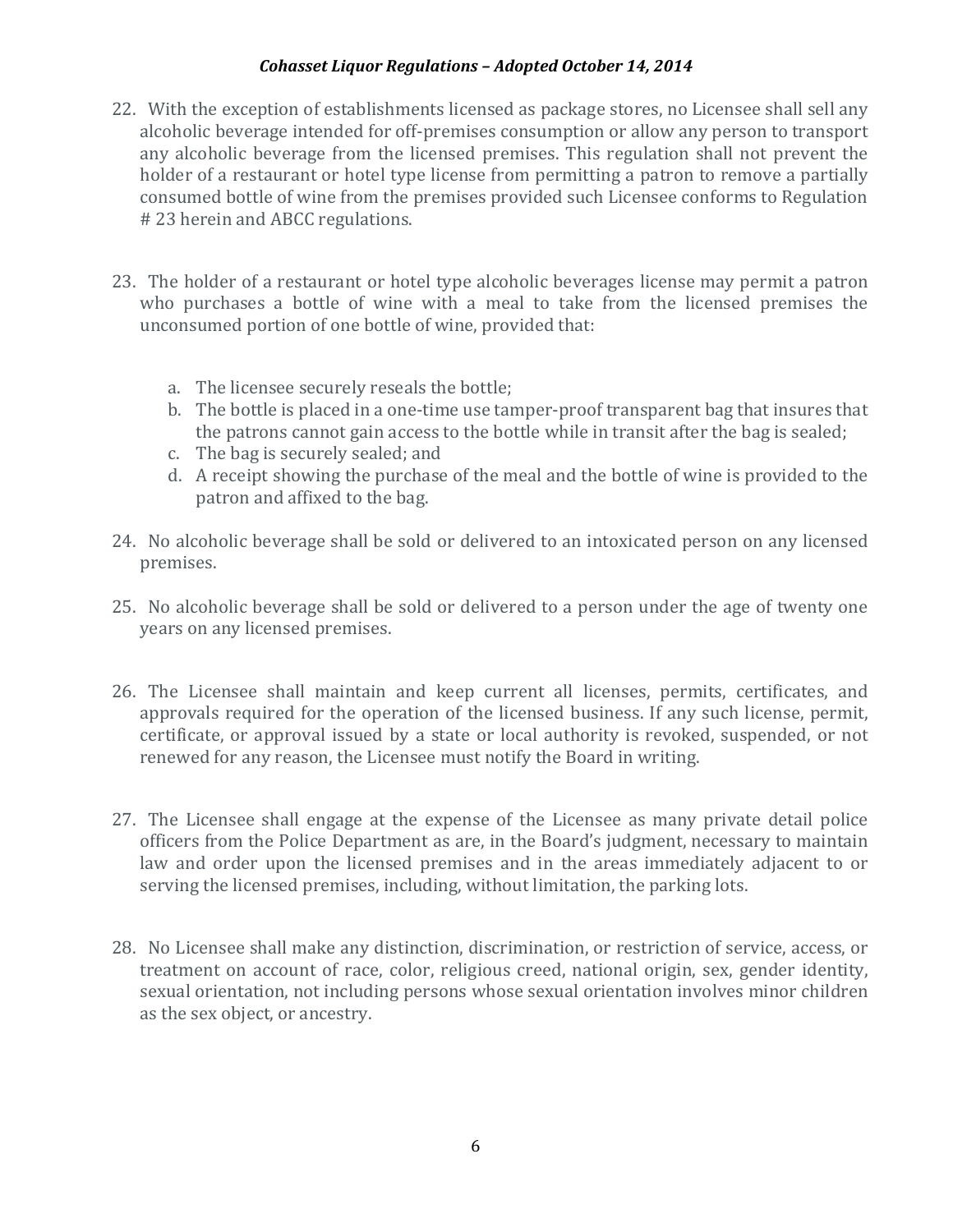- 22. With the exception of establishments licensed as package stores, no Licensee shall sell any alcoholic beverage intended for off-premises consumption or allow any person to transport any alcoholic beverage from the licensed premises. This regulation shall not prevent the holder of a restaurant or hotel type license from permitting a patron to remove a partially consumed bottle of wine from the premises provided such Licensee conforms to Regulation # 23 herein and ABCC regulations.
- 23. The holder of a restaurant or hotel type alcoholic beverages license may permit a patron who purchases a bottle of wine with a meal to take from the licensed premises the unconsumed portion of one bottle of wine, provided that:
	- a. The licensee securely reseals the bottle;
	- b. The bottle is placed in a one-time use tamper-proof transparent bag that insures that the patrons cannot gain access to the bottle while in transit after the bag is sealed;
	- c. The bag is securely sealed; and
	- d. A receipt showing the purchase of the meal and the bottle of wine is provided to the patron and affixed to the bag.
- 24. No alcoholic beverage shall be sold or delivered to an intoxicated person on any licensed premises.
- 25. No alcoholic beverage shall be sold or delivered to a person under the age of twenty one years on any licensed premises.
- 26. The Licensee shall maintain and keep current all licenses, permits, certificates, and approvals required for the operation of the licensed business. If any such license, permit, certificate, or approval issued by a state or local authority is revoked, suspended, or not renewed for any reason, the Licensee must notify the Board in writing.
- 27. The Licensee shall engage at the expense of the Licensee as many private detail police officers from the Police Department as are, in the Board's judgment, necessary to maintain law and order upon the licensed premises and in the areas immediately adjacent to or serving the licensed premises, including, without limitation, the parking lots.
- 28. No Licensee shall make any distinction, discrimination, or restriction of service, access, or treatment on account of race, color, religious creed, national origin, sex, gender identity, sexual orientation, not including persons whose sexual orientation involves minor children as the sex object, or ancestry.